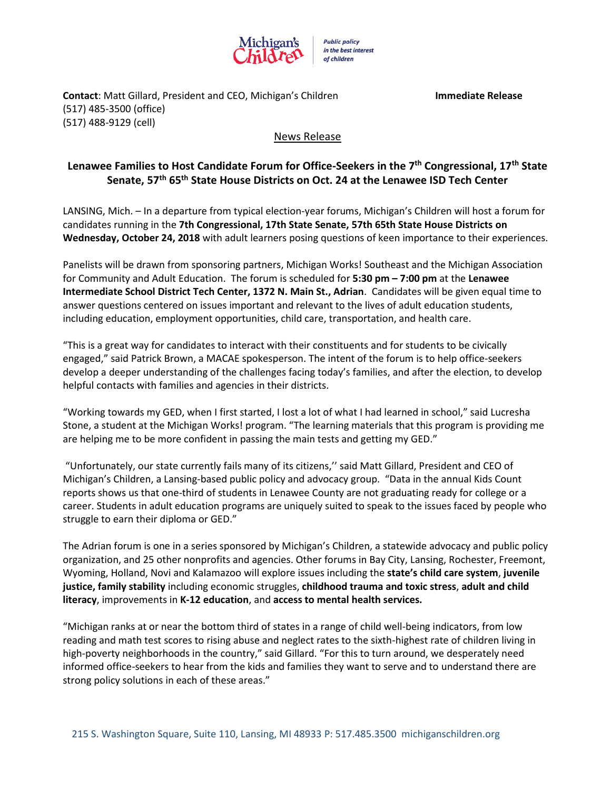

**Contact**: Matt Gillard, President and CEO, Michigan's Children **Immediate Release** (517) 485-3500 (office) (517) 488-9129 (cell)

## News Release

## **Lenawee Families to Host Candidate Forum for Office-Seekers in the 7 th Congressional, 17th State Senate, 57th 65th State House Districts on Oct. 24 at the Lenawee ISD Tech Center**

LANSING, Mich. – In a departure from typical election-year forums, Michigan's Children will host a forum for candidates running in the **7th Congressional, 17th State Senate, 57th 65th State House Districts on Wednesday, October 24, 2018** with adult learners posing questions of keen importance to their experiences.

Panelists will be drawn from sponsoring partners, Michigan Works! Southeast and the Michigan Association for Community and Adult Education. The forum is scheduled for **5:30 pm – 7:00 pm** at the **Lenawee Intermediate School District Tech Center, 1372 N. Main St., Adrian**. Candidates will be given equal time to answer questions centered on issues important and relevant to the lives of adult education students, including education, employment opportunities, child care, transportation, and health care.

"This is a great way for candidates to interact with their constituents and for students to be civically engaged," said Patrick Brown, a MACAE spokesperson. The intent of the forum is to help office-seekers develop a deeper understanding of the challenges facing today's families, and after the election, to develop helpful contacts with families and agencies in their districts.

"Working towards my GED, when I first started, I lost a lot of what I had learned in school," said Lucresha Stone, a student at the Michigan Works! program. "The learning materials that this program is providing me are helping me to be more confident in passing the main tests and getting my GED."

"Unfortunately, our state currently fails many of its citizens,'' said Matt Gillard, President and CEO of Michigan's Children, a Lansing-based public policy and advocacy group. "Data in the annual Kids Count reports shows us that one-third of students in Lenawee County are not graduating ready for college or a career. Students in adult education programs are uniquely suited to speak to the issues faced by people who struggle to earn their diploma or GED."

The Adrian forum is one in a series sponsored by Michigan's Children, a statewide advocacy and public policy organization, and 25 other nonprofits and agencies. Other forums in Bay City, Lansing, Rochester, Freemont, Wyoming, Holland, Novi and Kalamazoo will explore issues including the **state's child care system**, **juvenile justice, family stability** including economic struggles, **childhood trauma and toxic stress**, **adult and child literacy**, improvements in **K-12 education**, and **access to mental health services.** 

"Michigan ranks at or near the bottom third of states in a range of child well-being indicators, from low reading and math test scores to rising abuse and neglect rates to the sixth-highest rate of children living in high-poverty neighborhoods in the country," said Gillard. "For this to turn around, we desperately need informed office-seekers to hear from the kids and families they want to serve and to understand there are strong policy solutions in each of these areas."